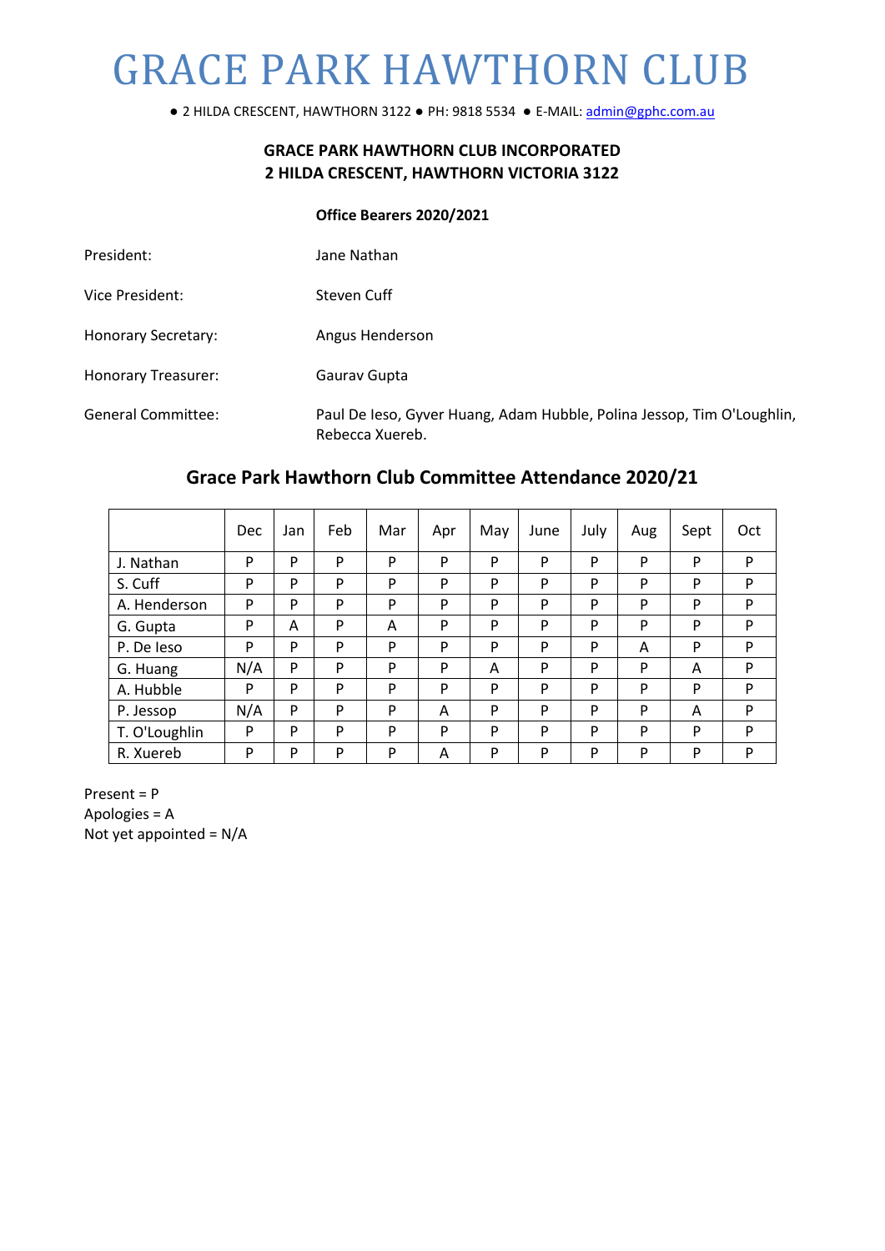# GRACE PARK HAWTHORN CLUB

**●** 2 HILDA CRESCENT, HAWTHORN 3122 **●** PH: 9818 5534 **●** E-MAIL[: admin@gphc.com.au](mailto:admin@gphc.com.au)

# **GRACE PARK HAWTHORN CLUB INCORPORATED 2 HILDA CRESCENT, HAWTHORN VICTORIA 3122**

#### **Office Bearers 2020/2021**

| President:                 | Jane Nathan            |
|----------------------------|------------------------|
| Vice President:            | Steven Cuff            |
| <b>Honorary Secretary:</b> | Angus Henderson        |
| Honorary Treasurer:        | Gauray Gupta           |
| General Committee:         | Paul De Ieso, Gyver Hu |

aang, Adam Hubble, Polina Jessop, Tim O'Loughlin, Rebecca Xuereb.

# **Grace Park Hawthorn Club Committee Attendance 2020/21**

|               | <b>Dec</b> | Jan | Feb | Mar | Apr | May | June | July | Aug | Sept | Oct |
|---------------|------------|-----|-----|-----|-----|-----|------|------|-----|------|-----|
| J. Nathan     | P          | P   | P   | P   | P   | P   | P    | P    | P   | P    | P   |
| S. Cuff       | P          | P   | P   | P   | P   | P   | P    | P    | P   | P    | P   |
| A. Henderson  | P          | P   | P   | P   | P   | P   | P    | P    | P   | P    | P   |
| G. Gupta      | P          | A   | P   | A   | P   | P   | P    | P    | P   | P    | P   |
| P. De leso    | P          | P   | P   | P   | P   | P   | P    | P    | A   | P    | P   |
| G. Huang      | N/A        | P   | P   | P   | P   | A   | P    | P    | P   | A    | P   |
| A. Hubble     | P          | P   | P   | P   | P   | P   | P    | P    | P   | P    | P   |
| P. Jessop     | N/A        | P   | P   | P   | A   | P   | P    | P    | P   | A    | P   |
| T. O'Loughlin | P          | P   | P   | P   | P   | P   | P    | P    | P   | P    | P   |
| R. Xuereb     | P          | P   | P   | P   | A   | P   | P    | P    | P   | P    | P   |

Present = P Apologies = A Not yet appointed = N/A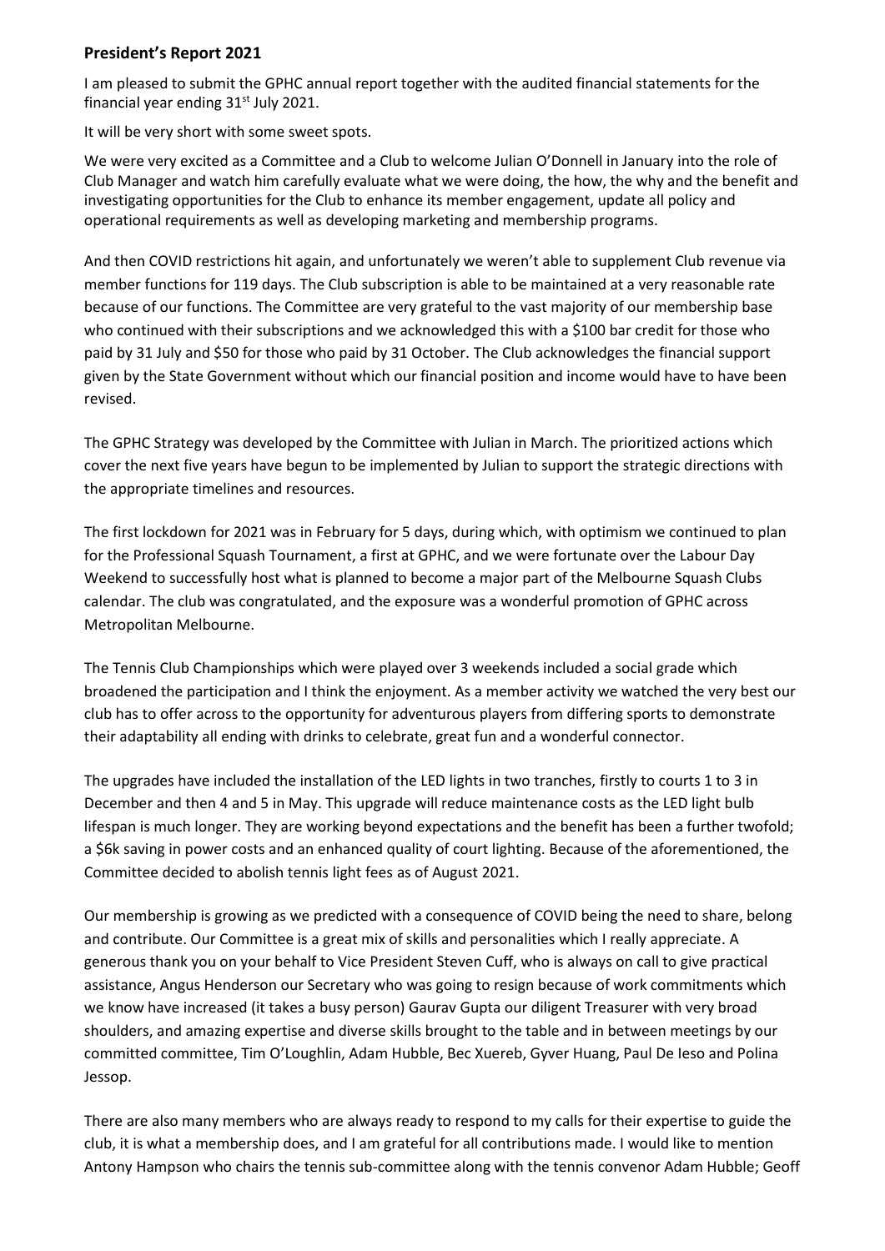## **President's Report 2021**

I am pleased to submit the GPHC annual report together with the audited financial statements for the financial year ending  $31<sup>st</sup>$  July 2021.

It will be very short with some sweet spots.

We were very excited as a Committee and a Club to welcome Julian O'Donnell in January into the role of Club Manager and watch him carefully evaluate what we were doing, the how, the why and the benefit and investigating opportunities for the Club to enhance its member engagement, update all policy and operational requirements as well as developing marketing and membership programs.

And then COVID restrictions hit again, and unfortunately we weren't able to supplement Club revenue via member functions for 119 days. The Club subscription is able to be maintained at a very reasonable rate because of our functions. The Committee are very grateful to the vast majority of our membership base who continued with their subscriptions and we acknowledged this with a \$100 bar credit for those who paid by 31 July and \$50 for those who paid by 31 October. The Club acknowledges the financial support given by the State Government without which our financial position and income would have to have been revised.

The GPHC Strategy was developed by the Committee with Julian in March. The prioritized actions which cover the next five years have begun to be implemented by Julian to support the strategic directions with the appropriate timelines and resources.

The first lockdown for 2021 was in February for 5 days, during which, with optimism we continued to plan for the Professional Squash Tournament, a first at GPHC, and we were fortunate over the Labour Day Weekend to successfully host what is planned to become a major part of the Melbourne Squash Clubs calendar. The club was congratulated, and the exposure was a wonderful promotion of GPHC across Metropolitan Melbourne.

The Tennis Club Championships which were played over 3 weekends included a social grade which broadened the participation and I think the enjoyment. As a member activity we watched the very best our club has to offer across to the opportunity for adventurous players from differing sports to demonstrate their adaptability all ending with drinks to celebrate, great fun and a wonderful connector.

The upgrades have included the installation of the LED lights in two tranches, firstly to courts 1 to 3 in December and then 4 and 5 in May. This upgrade will reduce maintenance costs as the LED light bulb lifespan is much longer. They are working beyond expectations and the benefit has been a further twofold; a \$6k saving in power costs and an enhanced quality of court lighting. Because of the aforementioned, the Committee decided to abolish tennis light fees as of August 2021.

Our membership is growing as we predicted with a consequence of COVID being the need to share, belong and contribute. Our Committee is a great mix of skills and personalities which I really appreciate. A generous thank you on your behalf to Vice President Steven Cuff, who is always on call to give practical assistance, Angus Henderson our Secretary who was going to resign because of work commitments which we know have increased (it takes a busy person) Gaurav Gupta our diligent Treasurer with very broad shoulders, and amazing expertise and diverse skills brought to the table and in between meetings by our committed committee, Tim O'Loughlin, Adam Hubble, Bec Xuereb, Gyver Huang, Paul De Ieso and Polina Jessop.

There are also many members who are always ready to respond to my calls for their expertise to guide the club, it is what a membership does, and I am grateful for all contributions made. I would like to mention Antony Hampson who chairs the tennis sub-committee along with the tennis convenor Adam Hubble; Geoff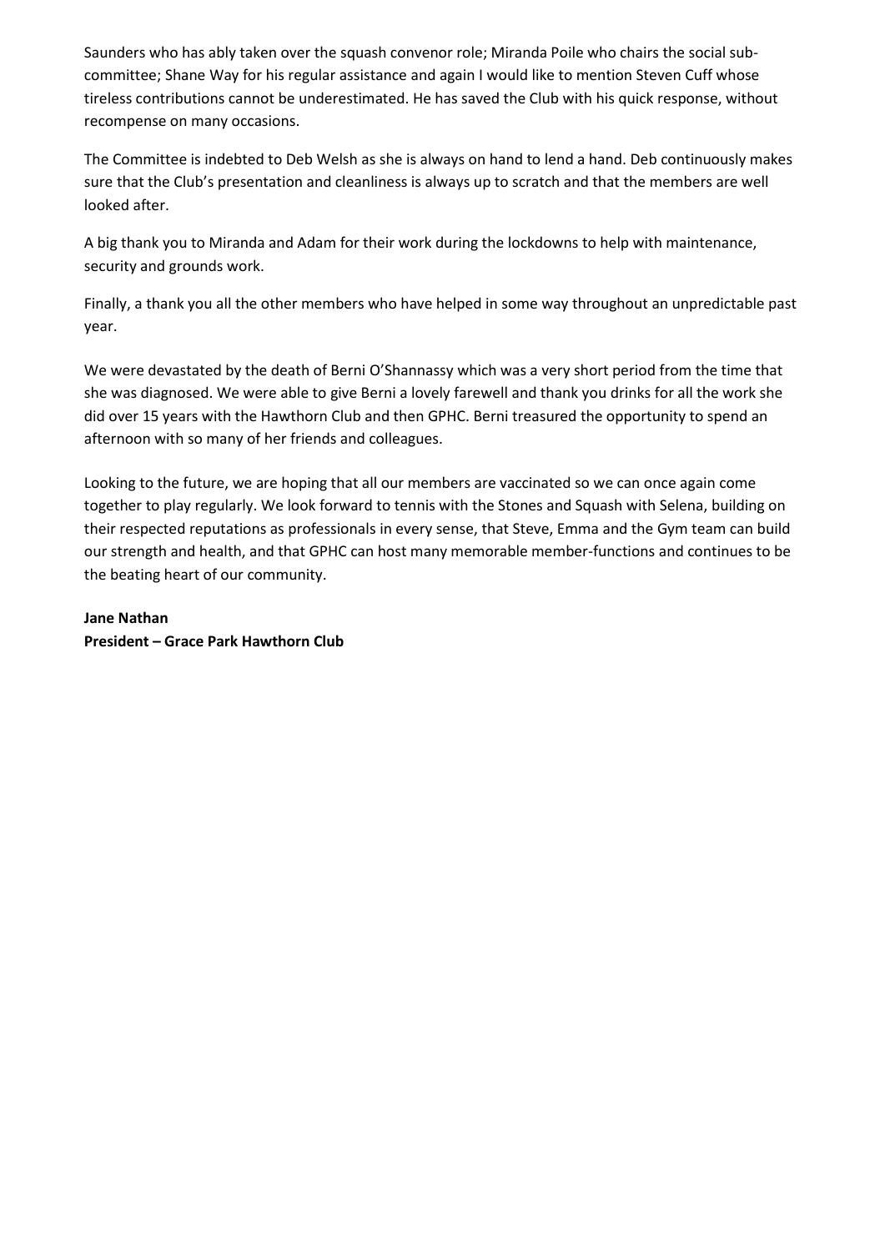Saunders who has ably taken over the squash convenor role; Miranda Poile who chairs the social subcommittee; Shane Way for his regular assistance and again I would like to mention Steven Cuff whose tireless contributions cannot be underestimated. He has saved the Club with his quick response, without recompense on many occasions.

The Committee is indebted to Deb Welsh as she is always on hand to lend a hand. Deb continuously makes sure that the Club's presentation and cleanliness is always up to scratch and that the members are well looked after.

A big thank you to Miranda and Adam for their work during the lockdowns to help with maintenance, security and grounds work.

Finally, a thank you all the other members who have helped in some way throughout an unpredictable past year.

We were devastated by the death of Berni O'Shannassy which was a very short period from the time that she was diagnosed. We were able to give Berni a lovely farewell and thank you drinks for all the work she did over 15 years with the Hawthorn Club and then GPHC. Berni treasured the opportunity to spend an afternoon with so many of her friends and colleagues.

Looking to the future, we are hoping that all our members are vaccinated so we can once again come together to play regularly. We look forward to tennis with the Stones and Squash with Selena, building on their respected reputations as professionals in every sense, that Steve, Emma and the Gym team can build our strength and health, and that GPHC can host many memorable member-functions and continues to be the beating heart of our community.

**Jane Nathan President – Grace Park Hawthorn Club**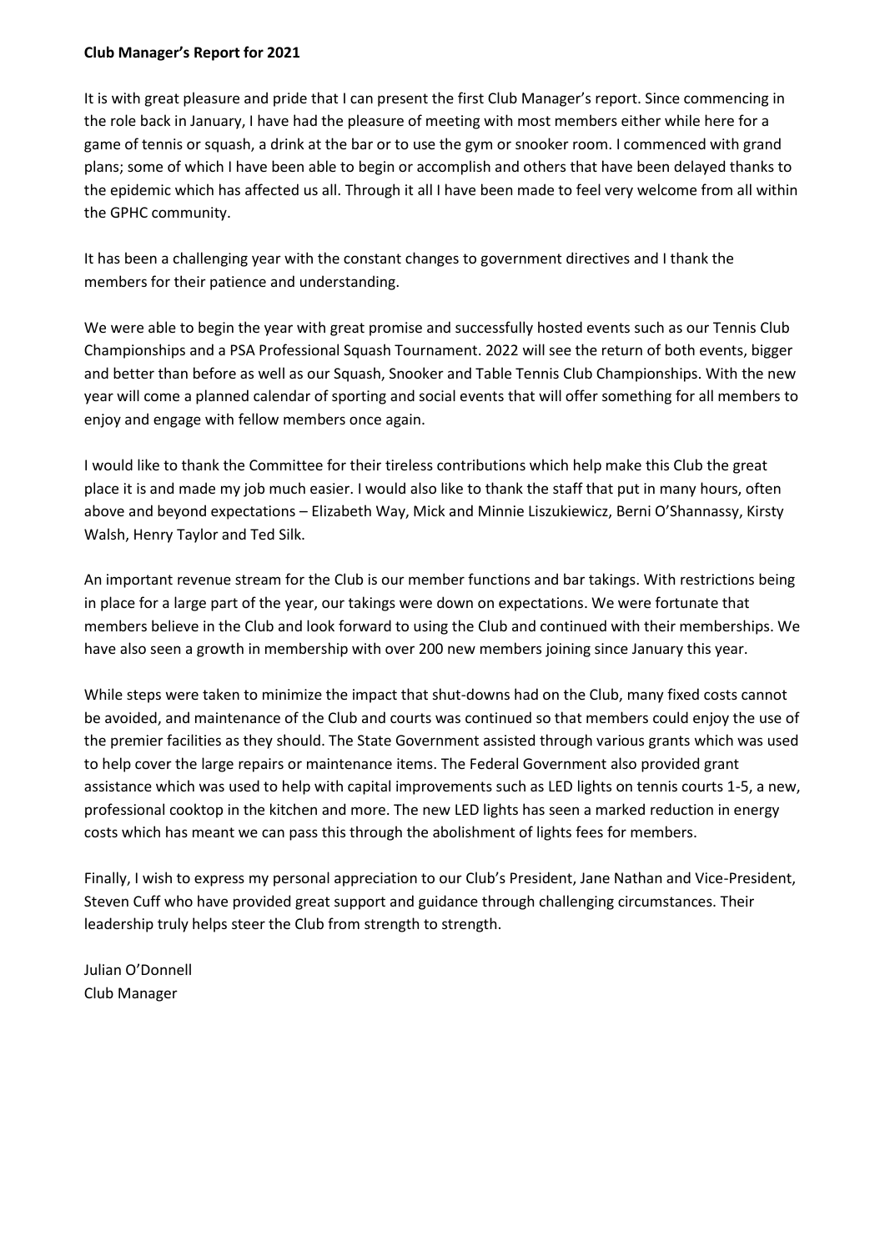#### **Club Manager's Report for 2021**

It is with great pleasure and pride that I can present the first Club Manager's report. Since commencing in the role back in January, I have had the pleasure of meeting with most members either while here for a game of tennis or squash, a drink at the bar or to use the gym or snooker room. I commenced with grand plans; some of which I have been able to begin or accomplish and others that have been delayed thanks to the epidemic which has affected us all. Through it all I have been made to feel very welcome from all within the GPHC community.

It has been a challenging year with the constant changes to government directives and I thank the members for their patience and understanding.

We were able to begin the year with great promise and successfully hosted events such as our Tennis Club Championships and a PSA Professional Squash Tournament. 2022 will see the return of both events, bigger and better than before as well as our Squash, Snooker and Table Tennis Club Championships. With the new year will come a planned calendar of sporting and social events that will offer something for all members to enjoy and engage with fellow members once again.

I would like to thank the Committee for their tireless contributions which help make this Club the great place it is and made my job much easier. I would also like to thank the staff that put in many hours, often above and beyond expectations – Elizabeth Way, Mick and Minnie Liszukiewicz, Berni O'Shannassy, Kirsty Walsh, Henry Taylor and Ted Silk.

An important revenue stream for the Club is our member functions and bar takings. With restrictions being in place for a large part of the year, our takings were down on expectations. We were fortunate that members believe in the Club and look forward to using the Club and continued with their memberships. We have also seen a growth in membership with over 200 new members joining since January this year.

While steps were taken to minimize the impact that shut-downs had on the Club, many fixed costs cannot be avoided, and maintenance of the Club and courts was continued so that members could enjoy the use of the premier facilities as they should. The State Government assisted through various grants which was used to help cover the large repairs or maintenance items. The Federal Government also provided grant assistance which was used to help with capital improvements such as LED lights on tennis courts 1-5, a new, professional cooktop in the kitchen and more. The new LED lights has seen a marked reduction in energy costs which has meant we can pass this through the abolishment of lights fees for members.

Finally, I wish to express my personal appreciation to our Club's President, Jane Nathan and Vice-President, Steven Cuff who have provided great support and guidance through challenging circumstances. Their leadership truly helps steer the Club from strength to strength.

Julian O'Donnell Club Manager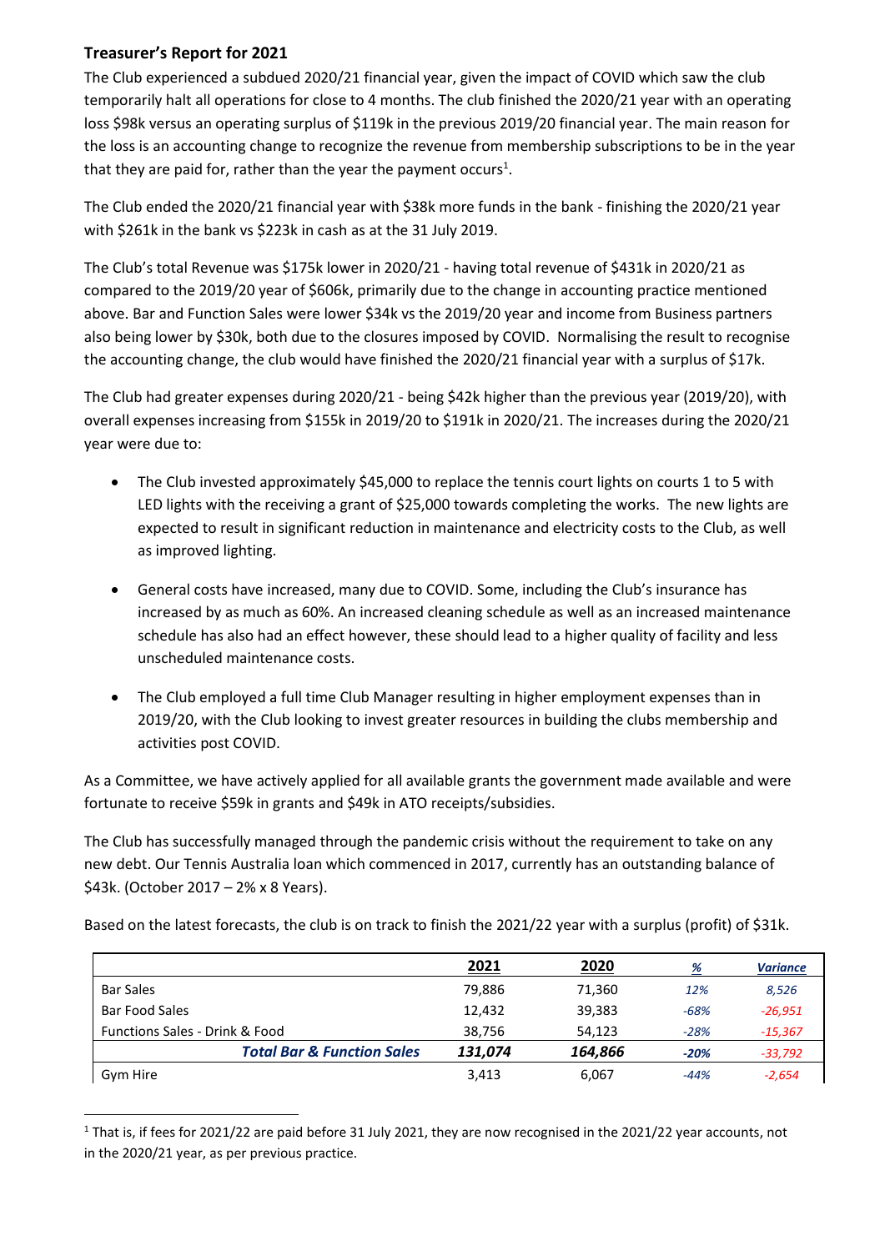# **Treasurer's Report for 2021**

The Club experienced a subdued 2020/21 financial year, given the impact of COVID which saw the club temporarily halt all operations for close to 4 months. The club finished the 2020/21 year with an operating loss \$98k versus an operating surplus of \$119k in the previous 2019/20 financial year. The main reason for the loss is an accounting change to recognize the revenue from membership subscriptions to be in the year that they are paid for, rather than the year the payment occurs<sup>1</sup>.

The Club ended the 2020/21 financial year with \$38k more funds in the bank - finishing the 2020/21 year with \$261k in the bank vs \$223k in cash as at the 31 July 2019.

The Club's total Revenue was \$175k lower in 2020/21 - having total revenue of \$431k in 2020/21 as compared to the 2019/20 year of \$606k, primarily due to the change in accounting practice mentioned above. Bar and Function Sales were lower \$34k vs the 2019/20 year and income from Business partners also being lower by \$30k, both due to the closures imposed by COVID. Normalising the result to recognise the accounting change, the club would have finished the 2020/21 financial year with a surplus of \$17k.

The Club had greater expenses during 2020/21 - being \$42k higher than the previous year (2019/20), with overall expenses increasing from \$155k in 2019/20 to \$191k in 2020/21. The increases during the 2020/21 year were due to:

- The Club invested approximately \$45,000 to replace the tennis court lights on courts 1 to 5 with LED lights with the receiving a grant of \$25,000 towards completing the works. The new lights are expected to result in significant reduction in maintenance and electricity costs to the Club, as well as improved lighting.
- General costs have increased, many due to COVID. Some, including the Club's insurance has increased by as much as 60%. An increased cleaning schedule as well as an increased maintenance schedule has also had an effect however, these should lead to a higher quality of facility and less unscheduled maintenance costs.
- The Club employed a full time Club Manager resulting in higher employment expenses than in 2019/20, with the Club looking to invest greater resources in building the clubs membership and activities post COVID.

As a Committee, we have actively applied for all available grants the government made available and were fortunate to receive \$59k in grants and \$49k in ATO receipts/subsidies.

The Club has successfully managed through the pandemic crisis without the requirement to take on any new debt. Our Tennis Australia loan which commenced in 2017, currently has an outstanding balance of \$43k. (October 2017 – 2% x 8 Years).

Based on the latest forecasts, the club is on track to finish the 2021/22 year with a surplus (profit) of \$31k.

|                                           | 2021    | 2020    | <u>%</u> | <b>Variance</b> |
|-------------------------------------------|---------|---------|----------|-----------------|
| <b>Bar Sales</b>                          | 79,886  | 71,360  | 12%      | 8,526           |
| <b>Bar Food Sales</b>                     | 12,432  | 39,383  | $-68%$   | $-26,951$       |
| <b>Functions Sales - Drink &amp; Food</b> | 38,756  | 54,123  | $-28%$   | $-15,367$       |
| <b>Total Bar &amp; Function Sales</b>     | 131.074 | 164,866 | $-20%$   | $-33,792$       |
| Gym Hire                                  | 3,413   | 6,067   | -44%     | $-2,654$        |

<sup>&</sup>lt;sup>1</sup> That is, if fees for 2021/22 are paid before 31 July 2021, they are now recognised in the 2021/22 year accounts, not in the 2020/21 year, as per previous practice.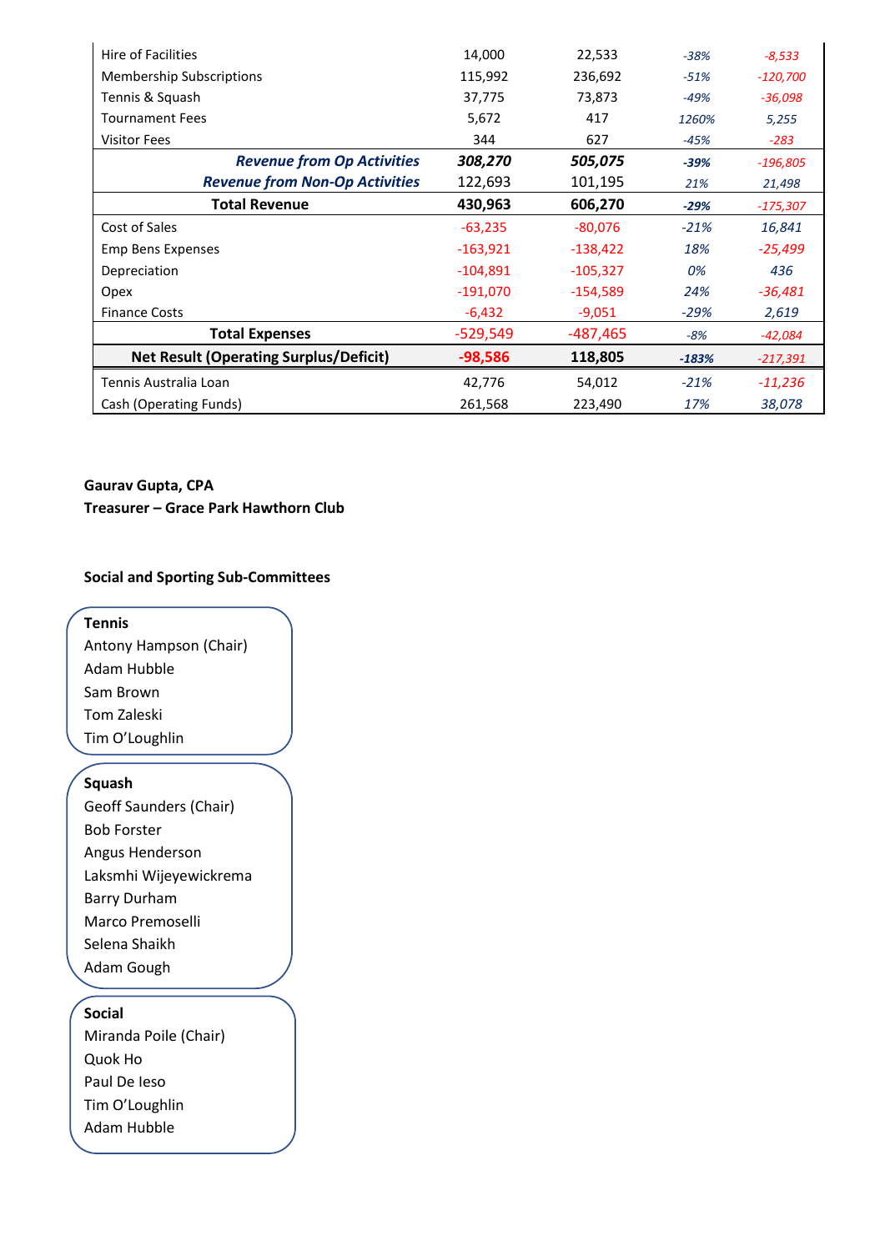| Hire of Facilities                            | 14,000     | 22,533     | $-38%$  | $-8,533$   |
|-----------------------------------------------|------------|------------|---------|------------|
| <b>Membership Subscriptions</b>               | 115,992    | 236,692    | $-51%$  | $-120,700$ |
| Tennis & Squash                               | 37,775     | 73,873     | -49%    | $-36,098$  |
| <b>Tournament Fees</b>                        | 5,672      | 417        | 1260%   | 5,255      |
| <b>Visitor Fees</b>                           | 344        | 627        | $-45%$  | -283       |
| <b>Revenue from Op Activities</b>             | 308,270    | 505,075    | $-39%$  | $-196,805$ |
| <b>Revenue from Non-Op Activities</b>         | 122,693    | 101,195    | 21%     | 21,498     |
| <b>Total Revenue</b>                          | 430,963    | 606,270    | $-29%$  | $-175,307$ |
| Cost of Sales                                 | $-63,235$  | $-80,076$  | $-21%$  | 16,841     |
| <b>Emp Bens Expenses</b>                      | $-163,921$ | $-138,422$ | 18%     | $-25,499$  |
| Depreciation                                  | $-104,891$ | $-105,327$ | 0%      | 436        |
| Opex                                          | $-191,070$ | $-154,589$ | 24%     | $-36,481$  |
| <b>Finance Costs</b>                          | $-6,432$   | $-9,051$   | $-29%$  | 2,619      |
| <b>Total Expenses</b>                         | $-529,549$ | $-487,465$ | -8%     | -42,084    |
| <b>Net Result (Operating Surplus/Deficit)</b> | $-98,586$  | 118,805    | $-183%$ | -217,391   |
| Tennis Australia Loan                         | 42,776     | 54,012     | $-21%$  | $-11,236$  |
| Cash (Operating Funds)                        | 261,568    | 223,490    | 17%     | 38,078     |

# **Gaurav Gupta, CPA**

**Treasurer – Grace Park Hawthorn Club**

# **Social and Sporting Sub-Committees**

**Tennis** Antony Hampson (Chair) Adam Hubble Sam Brown Tom Zaleski Tim O'Loughlin

#### **Squash**

Geoff Saunders (Chair) Bob Forster Angus Henderson Laksmhi Wijeyewickrema Barry Durham Marco Premoselli Selena Shaikh Adam Gough

# **Social**

Miranda Poile (Chair) Quok Ho Paul De Ieso Tim O'Loughlin Adam Hubble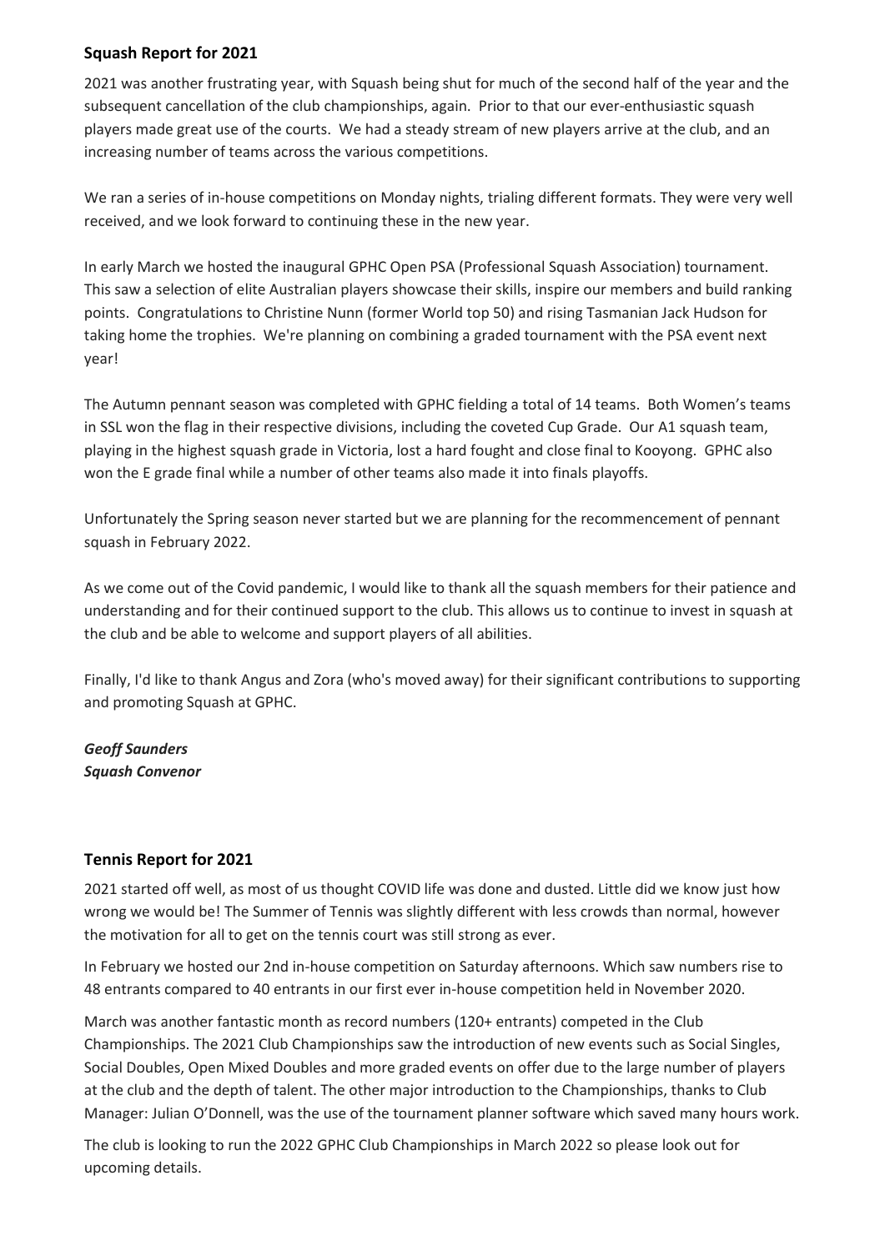## **Squash Report for 2021**

2021 was another frustrating year, with Squash being shut for much of the second half of the year and the subsequent cancellation of the club championships, again. Prior to that our ever-enthusiastic squash players made great use of the courts. We had a steady stream of new players arrive at the club, and an increasing number of teams across the various competitions.

We ran a series of in-house competitions on Monday nights, trialing different formats. They were very well received, and we look forward to continuing these in the new year.

In early March we hosted the inaugural GPHC Open PSA (Professional Squash Association) tournament. This saw a selection of elite Australian players showcase their skills, inspire our members and build ranking points. Congratulations to Christine Nunn (former World top 50) and rising Tasmanian Jack Hudson for taking home the trophies. We're planning on combining a graded tournament with the PSA event next year!

The Autumn pennant season was completed with GPHC fielding a total of 14 teams. Both Women's teams in SSL won the flag in their respective divisions, including the coveted Cup Grade. Our A1 squash team, playing in the highest squash grade in Victoria, lost a hard fought and close final to Kooyong. GPHC also won the E grade final while a number of other teams also made it into finals playoffs.

Unfortunately the Spring season never started but we are planning for the recommencement of pennant squash in February 2022.

As we come out of the Covid pandemic, I would like to thank all the squash members for their patience and understanding and for their continued support to the club. This allows us to continue to invest in squash at the club and be able to welcome and support players of all abilities.

Finally, I'd like to thank Angus and Zora (who's moved away) for their significant contributions to supporting and promoting Squash at GPHC.

# *Geoff Saunders Squash Convenor*

## **Tennis Report for 2021**

2021 started off well, as most of us thought COVID life was done and dusted. Little did we know just how wrong we would be! The Summer of Tennis was slightly different with less crowds than normal, however the motivation for all to get on the tennis court was still strong as ever.

In February we hosted our 2nd in-house competition on Saturday afternoons. Which saw numbers rise to 48 entrants compared to 40 entrants in our first ever in-house competition held in November 2020.

March was another fantastic month as record numbers (120+ entrants) competed in the Club Championships. The 2021 Club Championships saw the introduction of new events such as Social Singles, Social Doubles, Open Mixed Doubles and more graded events on offer due to the large number of players at the club and the depth of talent. The other major introduction to the Championships, thanks to Club Manager: Julian O'Donnell, was the use of the tournament planner software which saved many hours work.

The club is looking to run the 2022 GPHC Club Championships in March 2022 so please look out for upcoming details.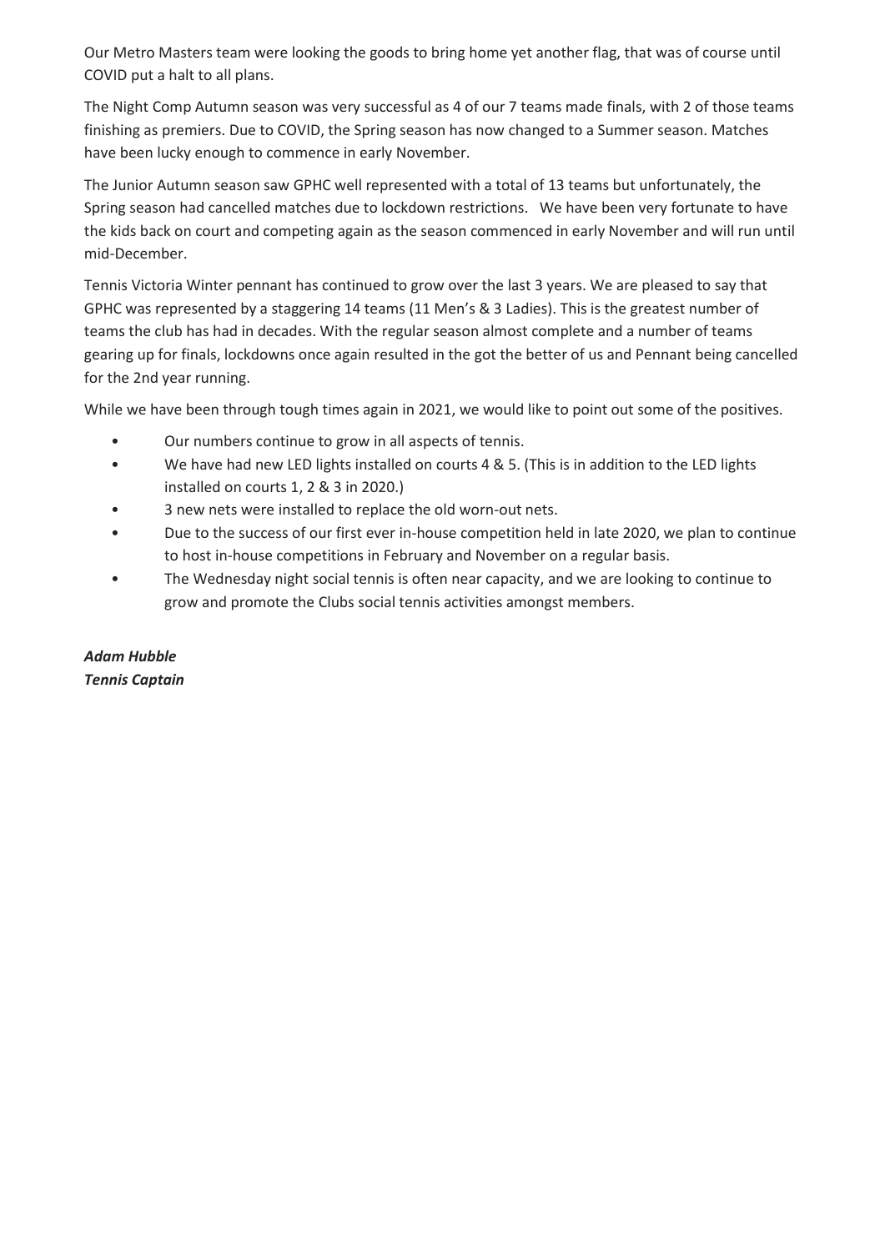Our Metro Masters team were looking the goods to bring home yet another flag, that was of course until COVID put a halt to all plans.

The Night Comp Autumn season was very successful as 4 of our 7 teams made finals, with 2 of those teams finishing as premiers. Due to COVID, the Spring season has now changed to a Summer season. Matches have been lucky enough to commence in early November.

The Junior Autumn season saw GPHC well represented with a total of 13 teams but unfortunately, the Spring season had cancelled matches due to lockdown restrictions. We have been very fortunate to have the kids back on court and competing again as the season commenced in early November and will run until mid-December.

Tennis Victoria Winter pennant has continued to grow over the last 3 years. We are pleased to say that GPHC was represented by a staggering 14 teams (11 Men's & 3 Ladies). This is the greatest number of teams the club has had in decades. With the regular season almost complete and a number of teams gearing up for finals, lockdowns once again resulted in the got the better of us and Pennant being cancelled for the 2nd year running.

While we have been through tough times again in 2021, we would like to point out some of the positives.

- Our numbers continue to grow in all aspects of tennis.
- We have had new LED lights installed on courts 4 & 5. (This is in addition to the LED lights installed on courts 1, 2 & 3 in 2020.)
- 3 new nets were installed to replace the old worn-out nets.
- Due to the success of our first ever in-house competition held in late 2020, we plan to continue to host in-house competitions in February and November on a regular basis.
- The Wednesday night social tennis is often near capacity, and we are looking to continue to grow and promote the Clubs social tennis activities amongst members.

*Adam Hubble Tennis Captain*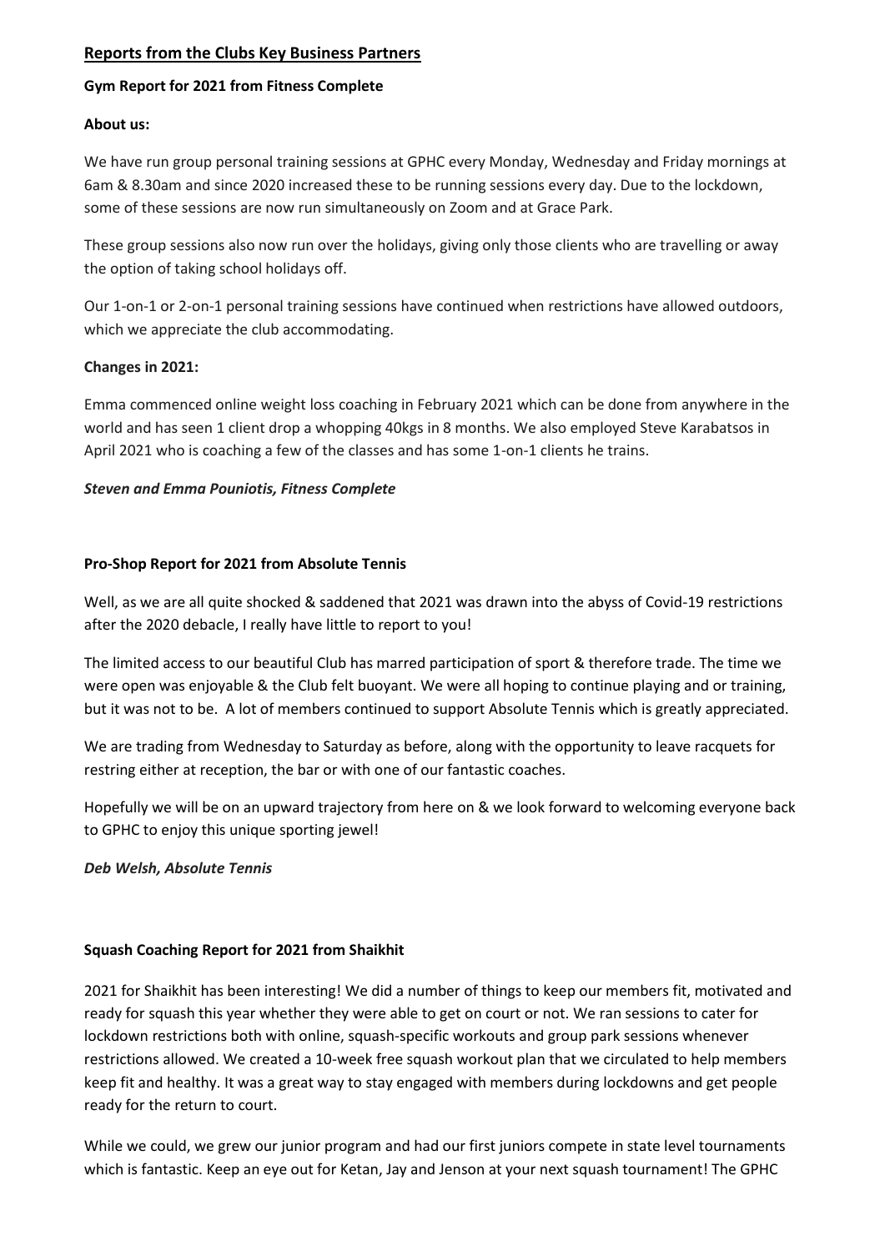## **Reports from the Clubs Key Business Partners**

#### **Gym Report for 2021 from Fitness Complete**

#### **About us:**

We have run group personal training sessions at GPHC every Monday, Wednesday and Friday mornings at 6am & 8.30am and since 2020 increased these to be running sessions every day. Due to the lockdown, some of these sessions are now run simultaneously on Zoom and at Grace Park.

These group sessions also now run over the holidays, giving only those clients who are travelling or away the option of taking school holidays off.

Our 1-on-1 or 2-on-1 personal training sessions have continued when restrictions have allowed outdoors, which we appreciate the club accommodating.

#### **Changes in 2021:**

Emma commenced online weight loss coaching in February 2021 which can be done from anywhere in the world and has seen 1 client drop a whopping 40kgs in 8 months. We also employed Steve Karabatsos in April 2021 who is coaching a few of the classes and has some 1-on-1 clients he trains.

## *Steven and Emma Pouniotis, Fitness Complete*

#### **Pro-Shop Report for 2021 from Absolute Tennis**

Well, as we are all quite shocked & saddened that 2021 was drawn into the abyss of Covid-19 restrictions after the 2020 debacle, I really have little to report to you!

The limited access to our beautiful Club has marred participation of sport & therefore trade. The time we were open was enjoyable & the Club felt buoyant. We were all hoping to continue playing and or training, but it was not to be. A lot of members continued to support Absolute Tennis which is greatly appreciated.

We are trading from Wednesday to Saturday as before, along with the opportunity to leave racquets for restring either at reception, the bar or with one of our fantastic coaches.

Hopefully we will be on an upward trajectory from here on & we look forward to welcoming everyone back to GPHC to enjoy this unique sporting jewel!

#### *Deb Welsh, Absolute Tennis*

## **Squash Coaching Report for 2021 from Shaikhit**

2021 for Shaikhit has been interesting! We did a number of things to keep our members fit, motivated and ready for squash this year whether they were able to get on court or not. We ran sessions to cater for lockdown restrictions both with online, squash-specific workouts and group park sessions whenever restrictions allowed. We created a 10-week free squash workout plan that we circulated to help members keep fit and healthy. It was a great way to stay engaged with members during lockdowns and get people ready for the return to court.

While we could, we grew our junior program and had our first juniors compete in state level tournaments which is fantastic. Keep an eye out for Ketan, Jay and Jenson at your next squash tournament! The GPHC